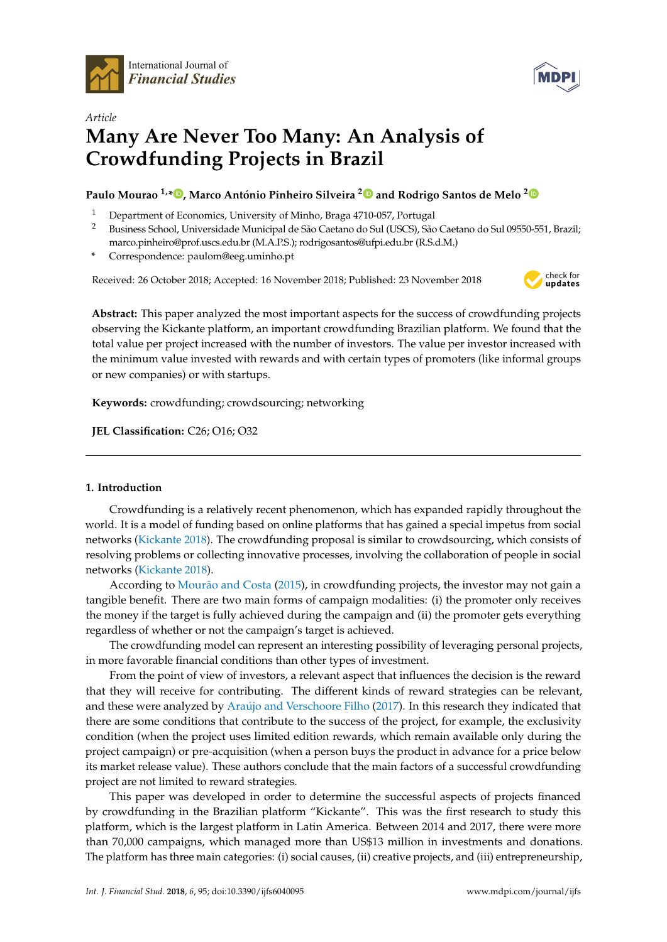



# *Article* **Many Are Never Too Many: An Analysis of Crowdfunding Projects in Brazil**

## **Paulo Mourao 1,\* [,](https://orcid.org/0000-0001-6046-645X) Marco António Pinheiro Silveira [2](https://orcid.org/0000-0001-6658-5548) and Rodrigo Santos de Melo [2](https://orcid.org/0000-0001-6658-5548)**

- <sup>1</sup> Department of Economics, University of Minho, Braga 4710-057, Portugal<br><sup>2</sup> Business School Universidade Municipal de São Centano de Sul (USCS), São
- <sup>2</sup> Business School, Universidade Municipal de São Caetano do Sul (USCS), São Caetano do Sul 09550-551, Brazil; marco.pinheiro@prof.uscs.edu.br (M.A.P.S.); rodrigosantos@ufpi.edu.br (R.S.d.M.)
- **\*** Correspondence: paulom@eeg.uminho.pt

Received: 26 October 2018; Accepted: 16 November 2018; Published: 23 November 2018



**Abstract:** This paper analyzed the most important aspects for the success of crowdfunding projects observing the Kickante platform, an important crowdfunding Brazilian platform. We found that the total value per project increased with the number of investors. The value per investor increased with the minimum value invested with rewards and with certain types of promoters (like informal groups or new companies) or with startups.

**Keywords:** crowdfunding; crowdsourcing; networking

**JEL Classification:** C26; O16; O32

## **1. Introduction**

Crowdfunding is a relatively recent phenomenon, which has expanded rapidly throughout the world. It is a model of funding based on online platforms that has gained a special impetus from social networks [\(Kickante](#page-12-0) [2018\)](#page-12-0). The crowdfunding proposal is similar to crowdsourcing, which consists of resolving problems or collecting innovative processes, involving the collaboration of people in social networks [\(Kickante](#page-12-0) [2018\)](#page-12-0).

According to Mourã[o and Costa](#page-12-1) [\(2015\)](#page-12-1), in crowdfunding projects, the investor may not gain a tangible benefit. There are two main forms of campaign modalities: (i) the promoter only receives the money if the target is fully achieved during the campaign and (ii) the promoter gets everything regardless of whether or not the campaign's target is achieved.

The crowdfunding model can represent an interesting possibility of leveraging personal projects, in more favorable financial conditions than other types of investment.

From the point of view of investors, a relevant aspect that influences the decision is the reward that they will receive for contributing. The different kinds of reward strategies can be relevant, and these were analyzed by Araú[jo and Verschoore Filho](#page-11-0) [\(2017\)](#page-11-0). In this research they indicated that there are some conditions that contribute to the success of the project, for example, the exclusivity condition (when the project uses limited edition rewards, which remain available only during the project campaign) or pre-acquisition (when a person buys the product in advance for a price below its market release value). These authors conclude that the main factors of a successful crowdfunding project are not limited to reward strategies.

This paper was developed in order to determine the successful aspects of projects financed by crowdfunding in the Brazilian platform "Kickante". This was the first research to study this platform, which is the largest platform in Latin America. Between 2014 and 2017, there were more than 70,000 campaigns, which managed more than US\$13 million in investments and donations. The platform has three main categories: (i) social causes, (ii) creative projects, and (iii) entrepreneurship,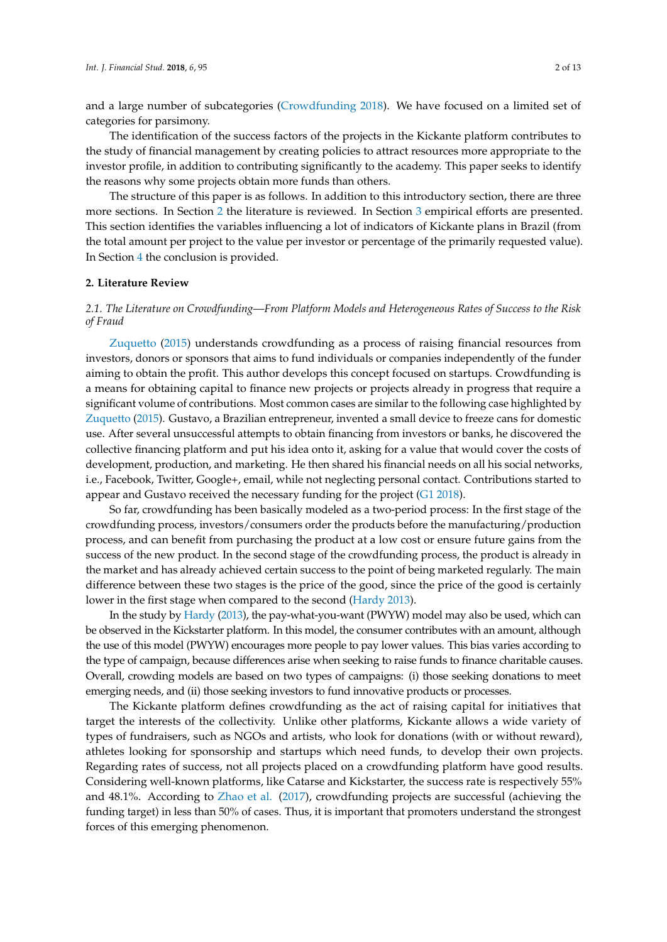and a large number of subcategories [\(Crowdfunding](#page-11-1) [2018\)](#page-11-1). We have focused on a limited set of categories for parsimony.

The identification of the success factors of the projects in the Kickante platform contributes to the study of financial management by creating policies to attract resources more appropriate to the investor profile, in addition to contributing significantly to the academy. This paper seeks to identify the reasons why some projects obtain more funds than others.

The structure of this paper is as follows. In addition to this introductory section, there are three more sections. In Section [2](#page-1-0) the literature is reviewed. In Section [3](#page-4-0) empirical efforts are presented. This section identifies the variables influencing a lot of indicators of Kickante plans in Brazil (from the total amount per project to the value per investor or percentage of the primarily requested value). In Section [4](#page-9-0) the conclusion is provided.

#### <span id="page-1-0"></span>**2. Literature Review**

### *2.1. The Literature on Crowdfunding—From Platform Models and Heterogeneous Rates of Success to the Risk of Fraud*

[Zuquetto](#page-12-2) [\(2015\)](#page-12-2) understands crowdfunding as a process of raising financial resources from investors, donors or sponsors that aims to fund individuals or companies independently of the funder aiming to obtain the profit. This author develops this concept focused on startups. Crowdfunding is a means for obtaining capital to finance new projects or projects already in progress that require a significant volume of contributions. Most common cases are similar to the following case highlighted by [Zuquetto](#page-12-2) [\(2015\)](#page-12-2). Gustavo, a Brazilian entrepreneur, invented a small device to freeze cans for domestic use. After several unsuccessful attempts to obtain financing from investors or banks, he discovered the collective financing platform and put his idea onto it, asking for a value that would cover the costs of development, production, and marketing. He then shared his financial needs on all his social networks, i.e., Facebook, Twitter, Google+, email, while not neglecting personal contact. Contributions started to appear and Gustavo received the necessary funding for the project [\(G1](#page-11-2) [2018\)](#page-11-2).

So far, crowdfunding has been basically modeled as a two-period process: In the first stage of the crowdfunding process, investors/consumers order the products before the manufacturing/production process, and can benefit from purchasing the product at a low cost or ensure future gains from the success of the new product. In the second stage of the crowdfunding process, the product is already in the market and has already achieved certain success to the point of being marketed regularly. The main difference between these two stages is the price of the good, since the price of the good is certainly lower in the first stage when compared to the second [\(Hardy](#page-11-3) [2013\)](#page-11-3).

In the study by [Hardy](#page-11-3) [\(2013\)](#page-11-3), the pay-what-you-want (PWYW) model may also be used, which can be observed in the Kickstarter platform. In this model, the consumer contributes with an amount, although the use of this model (PWYW) encourages more people to pay lower values. This bias varies according to the type of campaign, because differences arise when seeking to raise funds to finance charitable causes. Overall, crowding models are based on two types of campaigns: (i) those seeking donations to meet emerging needs, and (ii) those seeking investors to fund innovative products or processes.

The Kickante platform defines crowdfunding as the act of raising capital for initiatives that target the interests of the collectivity. Unlike other platforms, Kickante allows a wide variety of types of fundraisers, such as NGOs and artists, who look for donations (with or without reward), athletes looking for sponsorship and startups which need funds, to develop their own projects. Regarding rates of success, not all projects placed on a crowdfunding platform have good results. Considering well-known platforms, like Catarse and Kickstarter, the success rate is respectively 55% and 48.1%. According to [Zhao et al.](#page-12-3) [\(2017\)](#page-12-3), crowdfunding projects are successful (achieving the funding target) in less than 50% of cases. Thus, it is important that promoters understand the strongest forces of this emerging phenomenon.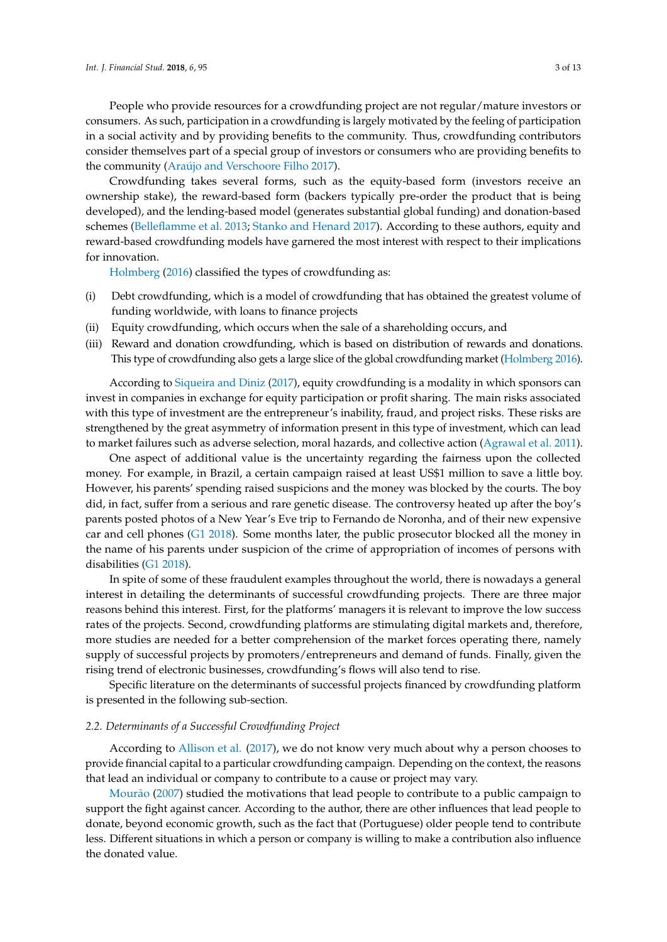People who provide resources for a crowdfunding project are not regular/mature investors or consumers. As such, participation in a crowdfunding is largely motivated by the feeling of participation in a social activity and by providing benefits to the community. Thus, crowdfunding contributors consider themselves part of a special group of investors or consumers who are providing benefits to the community (Araú[jo and Verschoore Filho](#page-11-0) [2017\)](#page-11-0).

Crowdfunding takes several forms, such as the equity-based form (investors receive an ownership stake), the reward-based form (backers typically pre-order the product that is being developed), and the lending-based model (generates substantial global funding) and donation-based schemes [\(Belleflamme et al.](#page-11-4) [2013;](#page-11-4) [Stanko and Henard](#page-12-4) [2017\)](#page-12-4). According to these authors, equity and reward-based crowdfunding models have garnered the most interest with respect to their implications for innovation.

[Holmberg](#page-11-5) [\(2016\)](#page-11-5) classified the types of crowdfunding as:

- (i) Debt crowdfunding, which is a model of crowdfunding that has obtained the greatest volume of funding worldwide, with loans to finance projects
- (ii) Equity crowdfunding, which occurs when the sale of a shareholding occurs, and
- (iii) Reward and donation crowdfunding, which is based on distribution of rewards and donations. This type of crowdfunding also gets a large slice of the global crowdfunding market [\(Holmberg](#page-11-5) [2016\)](#page-11-5).

According to [Siqueira and Diniz](#page-12-5) [\(2017\)](#page-12-5), equity crowdfunding is a modality in which sponsors can invest in companies in exchange for equity participation or profit sharing. The main risks associated with this type of investment are the entrepreneur's inability, fraud, and project risks. These risks are strengthened by the great asymmetry of information present in this type of investment, which can lead to market failures such as adverse selection, moral hazards, and collective action [\(Agrawal et al.](#page-11-6) [2011\)](#page-11-6).

One aspect of additional value is the uncertainty regarding the fairness upon the collected money. For example, in Brazil, a certain campaign raised at least US\$1 million to save a little boy. However, his parents' spending raised suspicions and the money was blocked by the courts. The boy did, in fact, suffer from a serious and rare genetic disease. The controversy heated up after the boy's parents posted photos of a New Year's Eve trip to Fernando de Noronha, and of their new expensive car and cell phones [\(G1](#page-11-2) [2018\)](#page-11-2). Some months later, the public prosecutor blocked all the money in the name of his parents under suspicion of the crime of appropriation of incomes of persons with disabilities [\(G1](#page-11-2) [2018\)](#page-11-2).

In spite of some of these fraudulent examples throughout the world, there is nowadays a general interest in detailing the determinants of successful crowdfunding projects. There are three major reasons behind this interest. First, for the platforms' managers it is relevant to improve the low success rates of the projects. Second, crowdfunding platforms are stimulating digital markets and, therefore, more studies are needed for a better comprehension of the market forces operating there, namely supply of successful projects by promoters/entrepreneurs and demand of funds. Finally, given the rising trend of electronic businesses, crowdfunding's flows will also tend to rise.

Specific literature on the determinants of successful projects financed by crowdfunding platform is presented in the following sub-section.

#### *2.2. Determinants of a Successful Crowdfunding Project*

According to [Allison et al.](#page-11-7) [\(2017\)](#page-11-7), we do not know very much about why a person chooses to provide financial capital to a particular crowdfunding campaign. Depending on the context, the reasons that lead an individual or company to contribute to a cause or project may vary.

[Mour](#page-12-6)ão [\(2007\)](#page-12-6) studied the motivations that lead people to contribute to a public campaign to support the fight against cancer. According to the author, there are other influences that lead people to donate, beyond economic growth, such as the fact that (Portuguese) older people tend to contribute less. Different situations in which a person or company is willing to make a contribution also influence the donated value.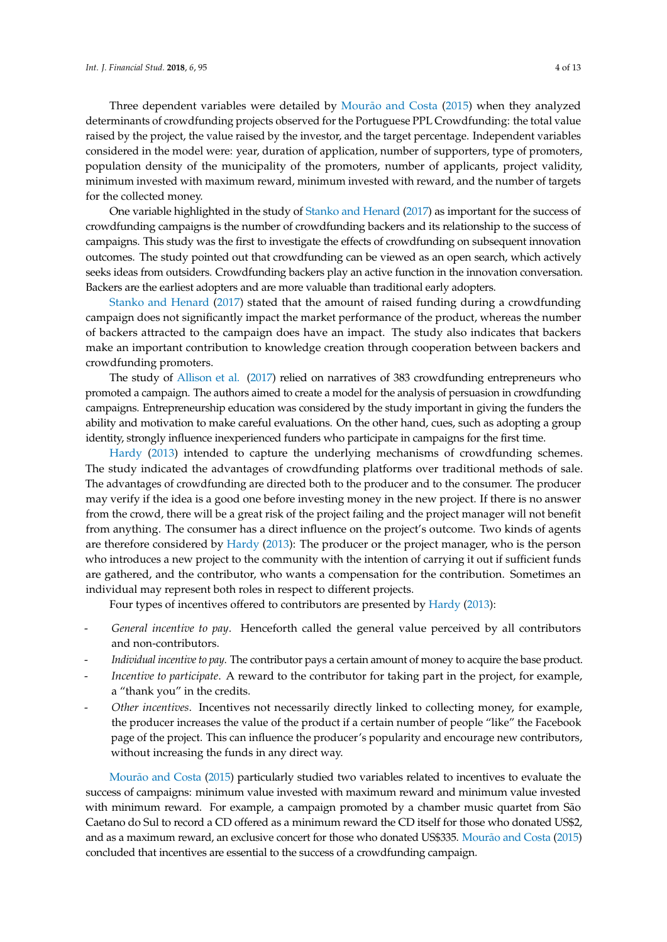Three dependent variables were detailed by Mourã[o and Costa](#page-12-1) [\(2015\)](#page-12-1) when they analyzed determinants of crowdfunding projects observed for the Portuguese PPL Crowdfunding: the total value raised by the project, the value raised by the investor, and the target percentage. Independent variables considered in the model were: year, duration of application, number of supporters, type of promoters, population density of the municipality of the promoters, number of applicants, project validity, minimum invested with maximum reward, minimum invested with reward, and the number of targets for the collected money.

One variable highlighted in the study of [Stanko and Henard](#page-12-4) [\(2017\)](#page-12-4) as important for the success of crowdfunding campaigns is the number of crowdfunding backers and its relationship to the success of campaigns. This study was the first to investigate the effects of crowdfunding on subsequent innovation outcomes. The study pointed out that crowdfunding can be viewed as an open search, which actively seeks ideas from outsiders. Crowdfunding backers play an active function in the innovation conversation. Backers are the earliest adopters and are more valuable than traditional early adopters.

[Stanko and Henard](#page-12-4) [\(2017\)](#page-12-4) stated that the amount of raised funding during a crowdfunding campaign does not significantly impact the market performance of the product, whereas the number of backers attracted to the campaign does have an impact. The study also indicates that backers make an important contribution to knowledge creation through cooperation between backers and crowdfunding promoters.

The study of [Allison et al.](#page-11-7) [\(2017\)](#page-11-7) relied on narratives of 383 crowdfunding entrepreneurs who promoted a campaign. The authors aimed to create a model for the analysis of persuasion in crowdfunding campaigns. Entrepreneurship education was considered by the study important in giving the funders the ability and motivation to make careful evaluations. On the other hand, cues, such as adopting a group identity, strongly influence inexperienced funders who participate in campaigns for the first time.

[Hardy](#page-11-3) [\(2013\)](#page-11-3) intended to capture the underlying mechanisms of crowdfunding schemes. The study indicated the advantages of crowdfunding platforms over traditional methods of sale. The advantages of crowdfunding are directed both to the producer and to the consumer. The producer may verify if the idea is a good one before investing money in the new project. If there is no answer from the crowd, there will be a great risk of the project failing and the project manager will not benefit from anything. The consumer has a direct influence on the project's outcome. Two kinds of agents are therefore considered by [Hardy](#page-11-3) [\(2013\)](#page-11-3): The producer or the project manager, who is the person who introduces a new project to the community with the intention of carrying it out if sufficient funds are gathered, and the contributor, who wants a compensation for the contribution. Sometimes an individual may represent both roles in respect to different projects.

Four types of incentives offered to contributors are presented by [Hardy](#page-11-3) [\(2013\)](#page-11-3):

- *General incentive to pay*. Henceforth called the general value perceived by all contributors and non-contributors.
- *Individual incentive to pay*. The contributor pays a certain amount of money to acquire the base product.
- *Incentive to participate*. A reward to the contributor for taking part in the project, for example, a "thank you" in the credits.
- *Other incentives*. Incentives not necessarily directly linked to collecting money, for example, the producer increases the value of the product if a certain number of people "like" the Facebook page of the project. This can influence the producer's popularity and encourage new contributors, without increasing the funds in any direct way.

Mourã[o and Costa](#page-12-1) [\(2015\)](#page-12-1) particularly studied two variables related to incentives to evaluate the success of campaigns: minimum value invested with maximum reward and minimum value invested with minimum reward. For example, a campaign promoted by a chamber music quartet from São Caetano do Sul to record a CD offered as a minimum reward the CD itself for those who donated US\$2, and as a maximum reward, an exclusive concert for those who donated US\$335. Mourã[o and Costa](#page-12-1) [\(2015\)](#page-12-1) concluded that incentives are essential to the success of a crowdfunding campaign.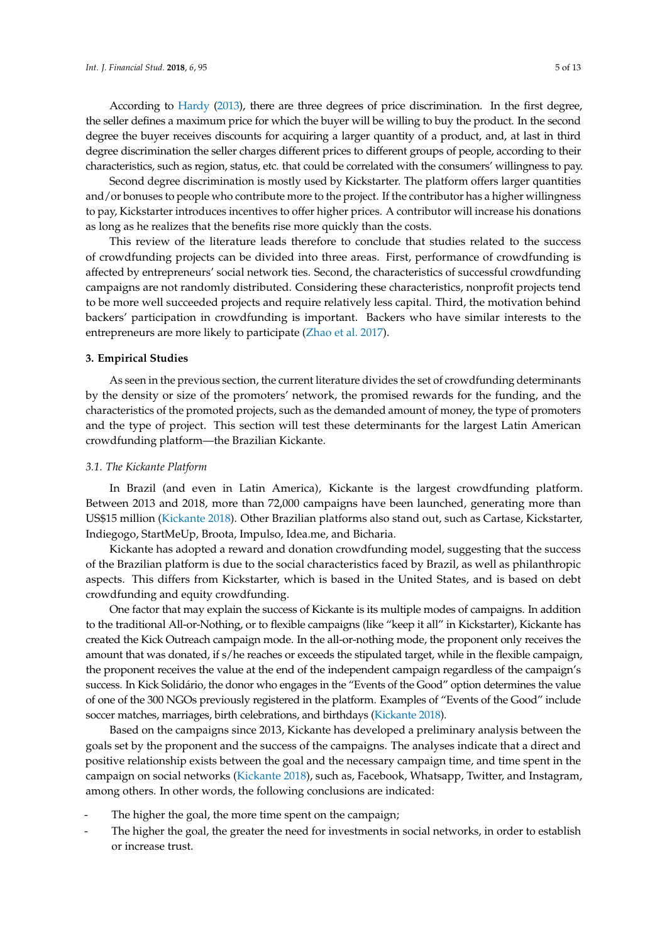According to [Hardy](#page-11-3) [\(2013\)](#page-11-3), there are three degrees of price discrimination. In the first degree, the seller defines a maximum price for which the buyer will be willing to buy the product. In the second degree the buyer receives discounts for acquiring a larger quantity of a product, and, at last in third degree discrimination the seller charges different prices to different groups of people, according to their characteristics, such as region, status, etc. that could be correlated with the consumers' willingness to pay.

Second degree discrimination is mostly used by Kickstarter. The platform offers larger quantities and/or bonuses to people who contribute more to the project. If the contributor has a higher willingness to pay, Kickstarter introduces incentives to offer higher prices. A contributor will increase his donations as long as he realizes that the benefits rise more quickly than the costs.

This review of the literature leads therefore to conclude that studies related to the success of crowdfunding projects can be divided into three areas. First, performance of crowdfunding is affected by entrepreneurs' social network ties. Second, the characteristics of successful crowdfunding campaigns are not randomly distributed. Considering these characteristics, nonprofit projects tend to be more well succeeded projects and require relatively less capital. Third, the motivation behind backers' participation in crowdfunding is important. Backers who have similar interests to the entrepreneurs are more likely to participate [\(Zhao et al.](#page-12-3) [2017\)](#page-12-3).

#### <span id="page-4-0"></span>**3. Empirical Studies**

As seen in the previous section, the current literature divides the set of crowdfunding determinants by the density or size of the promoters' network, the promised rewards for the funding, and the characteristics of the promoted projects, such as the demanded amount of money, the type of promoters and the type of project. This section will test these determinants for the largest Latin American crowdfunding platform—the Brazilian Kickante.

#### *3.1. The Kickante Platform*

In Brazil (and even in Latin America), Kickante is the largest crowdfunding platform. Between 2013 and 2018, more than 72,000 campaigns have been launched, generating more than US\$15 million [\(Kickante](#page-12-0) [2018\)](#page-12-0). Other Brazilian platforms also stand out, such as Cartase, Kickstarter, Indiegogo, StartMeUp, Broota, Impulso, Idea.me, and Bicharia.

Kickante has adopted a reward and donation crowdfunding model, suggesting that the success of the Brazilian platform is due to the social characteristics faced by Brazil, as well as philanthropic aspects. This differs from Kickstarter, which is based in the United States, and is based on debt crowdfunding and equity crowdfunding.

One factor that may explain the success of Kickante is its multiple modes of campaigns. In addition to the traditional All-or-Nothing, or to flexible campaigns (like "keep it all" in Kickstarter), Kickante has created the Kick Outreach campaign mode. In the all-or-nothing mode, the proponent only receives the amount that was donated, if s/he reaches or exceeds the stipulated target, while in the flexible campaign, the proponent receives the value at the end of the independent campaign regardless of the campaign's success. In Kick Solidário, the donor who engages in the "Events of the Good" option determines the value of one of the 300 NGOs previously registered in the platform. Examples of "Events of the Good" include soccer matches, marriages, birth celebrations, and birthdays [\(Kickante](#page-12-0) [2018\)](#page-12-0).

Based on the campaigns since 2013, Kickante has developed a preliminary analysis between the goals set by the proponent and the success of the campaigns. The analyses indicate that a direct and positive relationship exists between the goal and the necessary campaign time, and time spent in the campaign on social networks [\(Kickante](#page-12-0) [2018\)](#page-12-0), such as, Facebook, Whatsapp, Twitter, and Instagram, among others. In other words, the following conclusions are indicated:

- The higher the goal, the more time spent on the campaign;
- The higher the goal, the greater the need for investments in social networks, in order to establish or increase trust.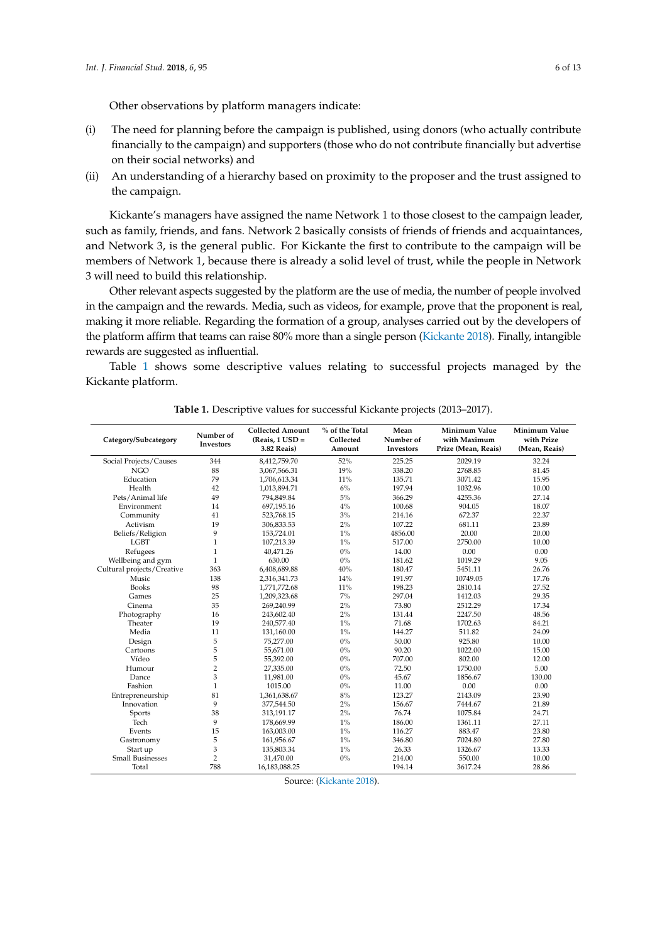Other observations by platform managers indicate:

- (i) The need for planning before the campaign is published, using donors (who actually contribute financially to the campaign) and supporters (those who do not contribute financially but advertise on their social networks) and
- (ii) An understanding of a hierarchy based on proximity to the proposer and the trust assigned to the campaign.

Kickante's managers have assigned the name Network 1 to those closest to the campaign leader, such as family, friends, and fans. Network 2 basically consists of friends of friends and acquaintances, and Network 3, is the general public. For Kickante the first to contribute to the campaign will be members of Network 1, because there is already a solid level of trust, while the people in Network 3 will need to build this relationship.

Other relevant aspects suggested by the platform are the use of media, the number of people involved in the campaign and the rewards. Media, such as videos, for example, prove that the proponent is real, making it more reliable. Regarding the formation of a group, analyses carried out by the developers of the platform affirm that teams can raise 80% more than a single person [\(Kickante](#page-12-0) [2018\)](#page-12-0). Finally, intangible rewards are suggested as influential.

Table [1](#page-5-0) shows some descriptive values relating to successful projects managed by the Kickante platform.

<span id="page-5-0"></span>

| Category/Subcategory       | Number of<br>Investors | <b>Collected Amount</b><br>(Reais, $1$ USD =<br>3.82 Reais) | % of the Total<br>Collected<br>Amount | Mean<br>Number of<br>Investors | Minimum Value<br>with Maximum<br>Prize (Mean, Reais) | Minimum Value<br>with Prize<br>(Mean, Reais) |
|----------------------------|------------------------|-------------------------------------------------------------|---------------------------------------|--------------------------------|------------------------------------------------------|----------------------------------------------|
| Social Projects/Causes     | 344                    | 8,412,759.70                                                | 52%                                   | 225.25                         | 2029.19                                              | 32.24                                        |
| <b>NGO</b>                 | 88                     | 3,067,566.31                                                | 19%                                   | 338.20                         | 2768.85                                              | 81.45                                        |
| Education                  | 79                     | 1,706,613.34                                                | 11%                                   | 135.71                         | 3071.42                                              | 15.95                                        |
| Health                     | 42                     | 1,013,894.71                                                | 6%                                    | 197.94                         | 1032.96                                              | 10.00                                        |
| Pets/Animal life           | 49                     | 794,849.84                                                  | 5%                                    | 366.29                         | 4255.36                                              | 27.14                                        |
| Environment                | 14                     | 697,195.16                                                  | $4\%$                                 | 100.68                         | 904.05                                               | 18.07                                        |
| Community                  | 41                     | 523,768.15                                                  | 3%                                    | 214.16                         | 672.37                                               | 22.37                                        |
| Activism                   | 19                     | 306,833.53                                                  | 2%                                    | 107.22                         | 681.11                                               | 23.89                                        |
| Beliefs/Religion           | 9                      | 153,724.01                                                  | $1\%$                                 | 4856.00                        | 20.00                                                | 20.00                                        |
| <b>LGBT</b>                | 1                      | 107,213.39                                                  | $1\%$                                 | 517.00                         | 2750.00                                              | 10.00                                        |
| Refugees                   | 1                      | 40,471.26                                                   | $0\%$                                 | 14.00                          | 0.00                                                 | 0.00                                         |
| Wellbeing and gym          | $\mathbf{1}$           | 630.00                                                      | $0\%$                                 | 181.62                         | 1019.29                                              | 9.05                                         |
| Cultural projects/Creative | 363                    | 6,408,689.88                                                | 40%                                   | 180.47                         | 5451.11                                              | 26.76                                        |
| Music                      | 138                    | 2,316,341.73                                                | 14%                                   | 191.97                         | 10749.05                                             | 17.76                                        |
| <b>Books</b>               | 98                     | 1,771,772.68                                                | 11%                                   | 198.23                         | 2810.14                                              | 27.52                                        |
| Games                      | 25                     | 1,209,323.68                                                | $7\%$                                 | 297.04                         | 1412.03                                              | 29.35                                        |
| Cinema                     | 35                     | 269,240.99                                                  | 2%                                    | 73.80                          | 2512.29                                              | 17.34                                        |
| Photography                | 16                     | 243,602.40                                                  | 2%                                    | 131.44                         | 2247.50                                              | 48.56                                        |
| Theater                    | 19                     | 240,577.40                                                  | $1\%$                                 | 71.68                          | 1702.63                                              | 84.21                                        |
| Media                      | 11                     | 131,160.00                                                  | $1\%$                                 | 144.27                         | 511.82                                               | 24.09                                        |
| Design                     | 5                      | 75,277.00                                                   | $0\%$                                 | 50.00                          | 925.80                                               | 10.00                                        |
| Cartoons                   | 5                      | 55,671.00                                                   | $0\%$                                 | 90.20                          | 1022.00                                              | 15.00                                        |
| Vídeo                      | 5                      | 55,392.00                                                   | $0\%$                                 | 707.00                         | 802.00                                               | 12.00                                        |
| Humour                     | $\overline{2}$         | 27,335.00                                                   | $0\%$                                 | 72.50                          | 1750.00                                              | 5.00                                         |
| Dance                      | 3                      | 11,981.00                                                   | $0\%$                                 | 45.67                          | 1856.67                                              | 130.00                                       |
| Fashion                    | $\mathbf{1}$           | 1015.00                                                     | $0\%$                                 | 11.00                          | 0.00                                                 | 0.00                                         |
| Entrepreneurship           | 81                     | 1,361,638.67                                                | 8%                                    | 123.27                         | 2143.09                                              | 23.90                                        |
| Innovation                 | 9                      | 377,544.50                                                  | 2%                                    | 156.67                         | 7444.67                                              | 21.89                                        |
| Sports                     | 38                     | 313,191.17                                                  | 2%                                    | 76.74                          | 1075.84                                              | 24.71                                        |
| Tech                       | 9                      | 178,669.99                                                  | $1\%$                                 | 186.00                         | 1361.11                                              | 27.11                                        |
| Events                     | 15                     | 163,003.00                                                  | $1\%$                                 | 116.27                         | 883.47                                               | 23.80                                        |
| Gastronomy                 | 5                      | 161,956.67                                                  | $1\%$                                 | 346.80                         | 7024.80                                              | 27.80                                        |
| Start up                   | 3                      | 135,803.34                                                  | $1\%$                                 | 26.33                          | 1326.67                                              | 13.33                                        |
| <b>Small Businesses</b>    | $\overline{2}$         | 31,470.00                                                   | $0\%$                                 | 214.00                         | 550.00                                               | 10.00                                        |
| Total                      | 788                    | 16,183,088.25                                               |                                       | 194.14                         | 3617.24                                              | 28.86                                        |

**Table 1.** Descriptive values for successful Kickante projects (2013–2017).

Source: [\(Kickante](#page-12-0) [2018\)](#page-12-0).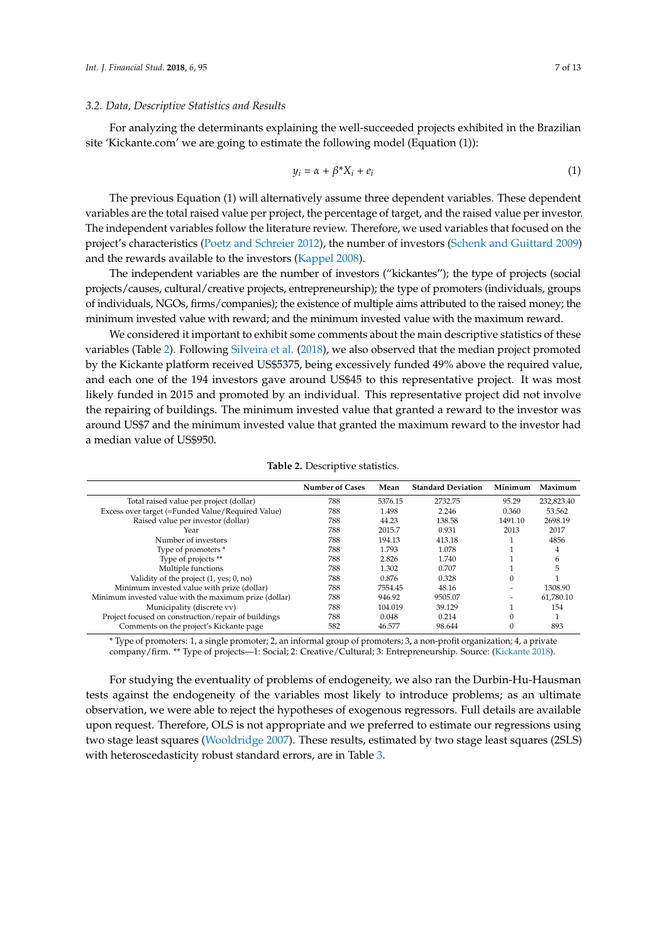#### *3.2. Data, Descriptive Statistics and Results*

For analyzing the determinants explaining the well-succeeded projects exhibited in the Brazilian site 'Kickante.com' we are going to estimate the following model (Equation (1)):

$$
y_i = \alpha + \beta^* X_i + e_i \tag{1}
$$

The previous Equation (1) will alternatively assume three dependent variables. These dependent variables are the total raised value per project, the percentage of target, and the raised value per investor. The independent variables follow the literature review. Therefore, we used variables that focused on the project's characteristics [\(Poetz and Schreier](#page-12-7) [2012\)](#page-12-7), the number of investors [\(Schenk and Guittard](#page-12-8) [2009\)](#page-12-8) and the rewards available to the investors [\(Kappel](#page-11-8) [2008\)](#page-11-8).

The independent variables are the number of investors ("kickantes"); the type of projects (social projects/causes, cultural/creative projects, entrepreneurship); the type of promoters (individuals, groups of individuals, NGOs, firms/companies); the existence of multiple aims attributed to the raised money; the minimum invested value with reward; and the minimum invested value with the maximum reward.

We considered it important to exhibit some comments about the main descriptive statistics of these variables (Table [2\)](#page-6-0). Following [Silveira et al.](#page-12-9) [\(2018\)](#page-12-9), we also observed that the median project promoted by the Kickante platform received US\$5375, being excessively funded 49% above the required value, and each one of the 194 investors gave around US\$45 to this representative project. It was most likely funded in 2015 and promoted by an individual. This representative project did not involve the repairing of buildings. The minimum invested value that granted a reward to the investor was around US\$7 and the minimum invested value that granted the maximum reward to the investor had a median value of US\$950.

<span id="page-6-0"></span>

|                                                        | <b>Number of Cases</b> | Mean    | <b>Standard Deviation</b> | Minimum      | Maximum    |
|--------------------------------------------------------|------------------------|---------|---------------------------|--------------|------------|
| Total raised value per project (dollar)                | 788                    | 5376.15 | 2732.75                   | 95.29        | 232.823.40 |
| Excess over target (=Funded Value/Required Value)      | 788                    | 1.498   | 2.246                     | 0.360        | 53.562     |
| Raised value per investor (dollar)                     | 788                    | 44.23   | 138.58                    | 1491.10      | 2698.19    |
| Year                                                   | 788                    | 2015.7  | 0.931                     | 2013         | 2017       |
| Number of investors                                    | 788                    | 194.13  | 413.18                    |              | 4856       |
| Type of promoters *                                    | 788                    | 1.793   | 1.078                     |              | 4          |
| Type of projects **                                    | 788                    | 2.826   | 1.740                     |              | 6          |
| Multiple functions                                     | 788                    | 1.302   | 0.707                     |              |            |
| Validity of the project (1, yes; 0, no)                | 788                    | 0.876   | 0.328                     | $\mathbf{0}$ |            |
| Minimum invested value with prize (dollar)             | 788                    | 7554.45 | 48.16                     |              | 1308.90    |
| Minimum invested value with the maximum prize (dollar) | 788                    | 946.92  | 9505.07                   | -            | 61,780.10  |
| Municipality (discrete vv)                             | 788                    | 104.019 | 39.129                    |              | 154        |
| Project focused on construction/repair of buildings    | 788                    | 0.048   | 0.214                     | $\Omega$     |            |
| Comments on the project's Kickante page                | 582                    | 46.577  | 98.644                    | $\Omega$     | 893        |

\* Type of promoters: 1, a single promoter; 2, an informal group of promoters; 3, a non-profit organization; 4, a private company/firm. \*\* Type of projects—1: Social; 2: Creative/Cultural; 3: Entrepreneurship. Source: [\(Kickante](#page-12-0) [2018\)](#page-12-0).

For studying the eventuality of problems of endogeneity, we also ran the Durbin-Hu-Hausman tests against the endogeneity of the variables most likely to introduce problems; as an ultimate observation, we were able to reject the hypotheses of exogenous regressors. Full details are available upon request. Therefore, OLS is not appropriate and we preferred to estimate our regressions using two stage least squares [\(Wooldridge](#page-12-10) [2007\)](#page-12-10). These results, estimated by two stage least squares (2SLS) with heteroscedasticity robust standard errors, are in Table [3.](#page-7-0)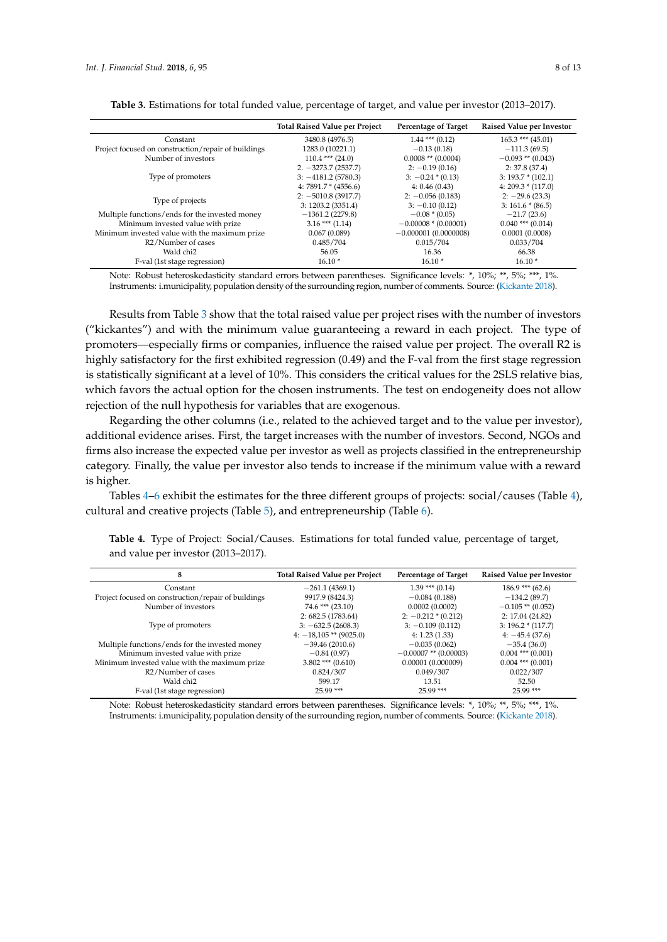|                                                     | <b>Total Raised Value per Project</b> | <b>Percentage of Target</b> | Raised Value per Investor |
|-----------------------------------------------------|---------------------------------------|-----------------------------|---------------------------|
| Constant                                            | 3480.8 (4976.5)                       | $1.44$ *** $(0.12)$         | $165.3$ *** (45.01)       |
| Project focused on construction/repair of buildings | 1283.0 (10221.1)                      | $-0.13(0.18)$               | $-111.3(69.5)$            |
| Number of investors                                 | $110.4$ *** (24.0)                    | $0.0008$ ** $(0.0004)$      | $-0.093$ ** (0.043)       |
|                                                     | $2. -3273.7(2537.7)$                  | $2: -0.19(0.16)$            | 2: 37.8(37.4)             |
| Type of promoters                                   | $3: -4181.2(5780.3)$                  | $3: -0.24 * (0.13)$         | $3:193.7*(102.1)$         |
|                                                     | 4: $7891.7 * (4556.6)$                | 4: 0.46(0.43)               | 4: $209.3 * (117.0)$      |
|                                                     | $2: -5010.8$ (3917.7)                 | $2: -0.056(0.183)$          | $2: -29.6(23.3)$          |
| Type of projects                                    | 3: 1203.2 (3351.4)                    | $3: -0.10(0.12)$            | $3:161.6*(86.5)$          |
| Multiple functions/ends for the invested money      | $-1361.2(2279.8)$                     | $-0.08*(0.05)$              | $-21.7(23.6)$             |
| Minimum invested value with prize                   | $3.16$ *** (1.14)                     | $-0.00008 * (0.00001)$      | $0.040$ *** $(0.014)$     |
| Minimum invested value with the maximum prize       | 0.067(0.089)                          | $-0.000001(0.0000008)$      | 0.0001(0.0008)            |
| R2/Number of cases                                  | 0.485/704                             | 0.015/704                   | 0.033/704                 |
| Wald chi <sub>2</sub>                               | 56.05                                 | 16.36                       | 66.38                     |
| F-val (1st stage regression)                        | $16.10*$                              | $16.10*$                    | $16.10*$                  |

<span id="page-7-0"></span>**Table 3.** Estimations for total funded value, percentage of target, and value per investor (2013–2017).

Note: Robust heteroskedasticity standard errors between parentheses. Significance levels: \*, 10%; \*\*, 5%; \*\*\*, 1%. Instruments: i.municipality, population density of the surrounding region, number of comments. Source: [\(Kickante](#page-12-0) [2018\)](#page-12-0).

Results from Table [3](#page-7-0) show that the total raised value per project rises with the number of investors ("kickantes") and with the minimum value guaranteeing a reward in each project. The type of promoters—especially firms or companies, influence the raised value per project. The overall R2 is highly satisfactory for the first exhibited regression (0.49) and the F-val from the first stage regression is statistically significant at a level of 10%. This considers the critical values for the 2SLS relative bias, which favors the actual option for the chosen instruments. The test on endogeneity does not allow rejection of the null hypothesis for variables that are exogenous.

Regarding the other columns (i.e., related to the achieved target and to the value per investor), additional evidence arises. First, the target increases with the number of investors. Second, NGOs and firms also increase the expected value per investor as well as projects classified in the entrepreneurship category. Finally, the value per investor also tends to increase if the minimum value with a reward is higher.

Tables [4–](#page-7-1)[6](#page-8-0) exhibit the estimates for the three different groups of projects: social/causes (Table [4\)](#page-7-1), cultural and creative projects (Table [5\)](#page-8-1), and entrepreneurship (Table [6\)](#page-8-0).

<span id="page-7-1"></span>

|                                                                                                    | Total Raised Value per Project Percentage of Target Raised Value per Invest |  |
|----------------------------------------------------------------------------------------------------|-----------------------------------------------------------------------------|--|
| and value per investor (2013–2017).                                                                |                                                                             |  |
| Table 4. Type of Project: Social/Causes. Estimations for total funded value, percentage of target, |                                                                             |  |

| Total Raised Value per Project | <b>Percentage of Target</b>                                                                                                                                                                                             | Raised Value per Investor |
|--------------------------------|-------------------------------------------------------------------------------------------------------------------------------------------------------------------------------------------------------------------------|---------------------------|
|                                | $1.39$ *** $(0.14)$                                                                                                                                                                                                     | $186.9$ *** (62.6)        |
|                                | $-0.084(0.188)$                                                                                                                                                                                                         | $-134.2(89.7)$            |
|                                | 0.0002(0.0002)                                                                                                                                                                                                          | $-0.105$ ** (0.052)       |
|                                | $2: -0.212 * (0.212)$                                                                                                                                                                                                   | 2: 17.04(24.82)           |
|                                | $3: -0.109(0.112)$                                                                                                                                                                                                      | $3:196.2*(117.7)$         |
|                                | 4: 1.23(1.33)                                                                                                                                                                                                           | $4: -45.4(37.6)$          |
|                                | $-0.035(0.062)$                                                                                                                                                                                                         | $-35.4(36.0)$             |
|                                |                                                                                                                                                                                                                         | $0.004$ *** $(0.001)$     |
|                                | 0.00001(0.000009)                                                                                                                                                                                                       | $0.004$ *** $(0.001)$     |
|                                | 0.049/307                                                                                                                                                                                                               | 0.022/307                 |
| 599.17                         | 13.51                                                                                                                                                                                                                   | 52.50                     |
|                                | 25.99 ***                                                                                                                                                                                                               | $25.99***$                |
|                                | $-261.1(4369.1)$<br>9917.9 (8424.3)<br>$74.6$ *** (23.10)<br>2:682.5(1783.64)<br>$3: -632.5(2608.3)$<br>$4: -18,105**$ (9025.0)<br>$-39.46(2010.6)$<br>$-0.84(0.97)$<br>$3.802$ *** $(0.610)$<br>0.824/307<br>25.99 *** | $-0.00007$ ** (0.00003)   |

Note: Robust heteroskedasticity standard errors between parentheses. Significance levels: \*, 10%; \*\*, 5%; \*\*\*, 1%. Instruments: i.municipality, population density of the surrounding region, number of comments. Source: [\(Kickante](#page-12-0) [2018\)](#page-12-0).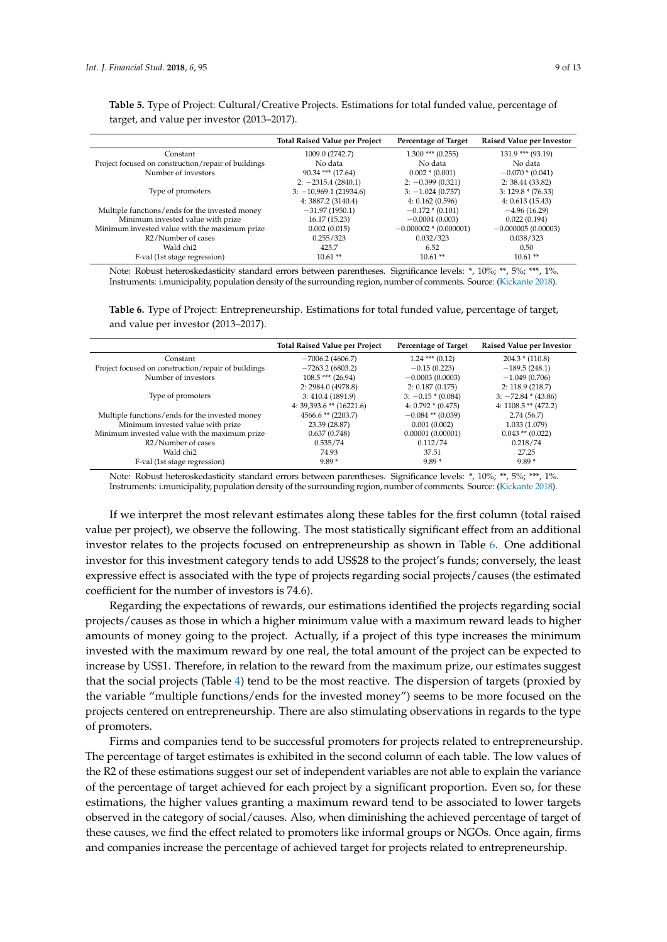<span id="page-8-1"></span>**Table 5.** Type of Project: Cultural/Creative Projects. Estimations for total funded value, percentage of target, and value per investor (2013–2017).

|                                                     | <b>Total Raised Value per Project</b> | <b>Percentage of Target</b> | Raised Value per Investor |
|-----------------------------------------------------|---------------------------------------|-----------------------------|---------------------------|
| Constant                                            | 1009.0 (2742.7)                       | $1.300$ *** $(0.255)$       | $131.9$ *** (93.19)       |
| Project focused on construction/repair of buildings | No data                               | No data                     | No data                   |
| Number of investors                                 | $90.34$ *** $(17.64)$                 | $0.002 * (0.001)$           | $-0.070*(0.041)$          |
|                                                     | $2: -2315.4(2840.1)$                  | $2: -0.399(0.321)$          | 2: 38.44 (33.82)          |
| Type of promoters                                   | $3: -10,969.1(21934.6)$               | $3: -1.024(0.757)$          | $3: 129.8 * (76.33)$      |
|                                                     | 4: 3887.2 (3140.4)                    | 4: 0.162(0.596)             | 4: 0.613(15.43)           |
| Multiple functions/ends for the invested money      | $-31.97(1950.1)$                      | $-0.172*(0.101)$            | $-4.96(16.29)$            |
| Minimum invested value with prize                   | 16.17 (15.23)                         | $-0.0004(0.003)$            | 0.022(0.194)              |
| Minimum invested value with the maximum prize       | 0.002(0.015)                          | $-0.000002 * (0.000001)$    | $-0.000005(0.00003)$      |
| R <sub>2</sub> /Number of cases                     | 0.255 / 323                           | 0.032/323                   | 0.038/323                 |
| Wald chi2                                           | 425.7                                 | 6.52                        | 0.50                      |
| F-val (1st stage regression)                        | $10.61**$                             | $10.61**$                   | $10.61**$                 |

Note: Robust heteroskedasticity standard errors between parentheses. Significance levels: \*, 10%; \*\*, 5%; \*\*\*, 1%. Instruments: i.municipality, population density of the surrounding region, number of comments. Source: [\(Kickante](#page-12-0) [2018\)](#page-12-0).

<span id="page-8-0"></span>**Table 6.** Type of Project: Entrepreneurship. Estimations for total funded value, percentage of target, and value per investor (2013–2017).

|                                                     | <b>Total Raised Value per Project</b> | Percentage of Target | Raised Value per Investor |
|-----------------------------------------------------|---------------------------------------|----------------------|---------------------------|
| Constant                                            | $-7006.2(4606.7)$                     | $1.24$ *** $(0.12)$  | $204.3 * (110.8)$         |
| Project focused on construction/repair of buildings | $-7263.2(6803.2)$                     | $-0.15(0.223)$       | $-189.5(248.1)$           |
| Number of investors                                 | $108.5$ *** (26.94)                   | $-0.0003(0.0003)$    | $-1.049(0.706)$           |
|                                                     | 2: 2984.0 (4978.8)                    | 2: 0.187(0.175)      | 2: 118.9 (218.7)          |
| Type of promoters                                   | 3: 410.4(1891.9)                      | $3: -0.15*(0.084)$   | $3: -72.84 * (43.86)$     |
|                                                     | 4: $39,393.6$ ** $(16221.6)$          | 4: $0.792 * (0.475)$ | 4: $1108.5$ ** $(472.2)$  |
| Multiple functions/ends for the invested money      | 4566.6** (2203.7)                     | $-0.084$ ** (0.039)  | 2.74(56.7)                |
| Minimum invested value with prize                   | 23.39 (28.87)                         | 0.001(0.002)         | 1.033(1.079)              |
| Minimum invested value with the maximum prize       | 0.637(0.748)                          | 0.00001(0.00001)     | $0.043$ ** $(0.022)$      |
| R2/Number of cases                                  | 0.535/74                              | 0.112/74             | 0.218/74                  |
| Wald chi2                                           | 74.93                                 | 37.51                | 27.25                     |
| F-val (1st stage regression)                        | $9.89*$                               | $9.89*$              | $9.89*$                   |

Note: Robust heteroskedasticity standard errors between parentheses. Significance levels: \*, 10%; \*\*, 5%; \*\*\*, 1%. Instruments: i.municipality, population density of the surrounding region, number of comments. Source: [\(Kickante](#page-12-0) [2018\)](#page-12-0).

If we interpret the most relevant estimates along these tables for the first column (total raised value per project), we observe the following. The most statistically significant effect from an additional investor relates to the projects focused on entrepreneurship as shown in Table [6.](#page-8-0) One additional investor for this investment category tends to add US\$28 to the project's funds; conversely, the least expressive effect is associated with the type of projects regarding social projects/causes (the estimated coefficient for the number of investors is 74.6).

Regarding the expectations of rewards, our estimations identified the projects regarding social projects/causes as those in which a higher minimum value with a maximum reward leads to higher amounts of money going to the project. Actually, if a project of this type increases the minimum invested with the maximum reward by one real, the total amount of the project can be expected to increase by US\$1. Therefore, in relation to the reward from the maximum prize, our estimates suggest that the social projects (Table [4\)](#page-7-1) tend to be the most reactive. The dispersion of targets (proxied by the variable "multiple functions/ends for the invested money") seems to be more focused on the projects centered on entrepreneurship. There are also stimulating observations in regards to the type of promoters.

Firms and companies tend to be successful promoters for projects related to entrepreneurship. The percentage of target estimates is exhibited in the second column of each table. The low values of the R2 of these estimations suggest our set of independent variables are not able to explain the variance of the percentage of target achieved for each project by a significant proportion. Even so, for these estimations, the higher values granting a maximum reward tend to be associated to lower targets observed in the category of social/causes. Also, when diminishing the achieved percentage of target of these causes, we find the effect related to promoters like informal groups or NGOs. Once again, firms and companies increase the percentage of achieved target for projects related to entrepreneurship.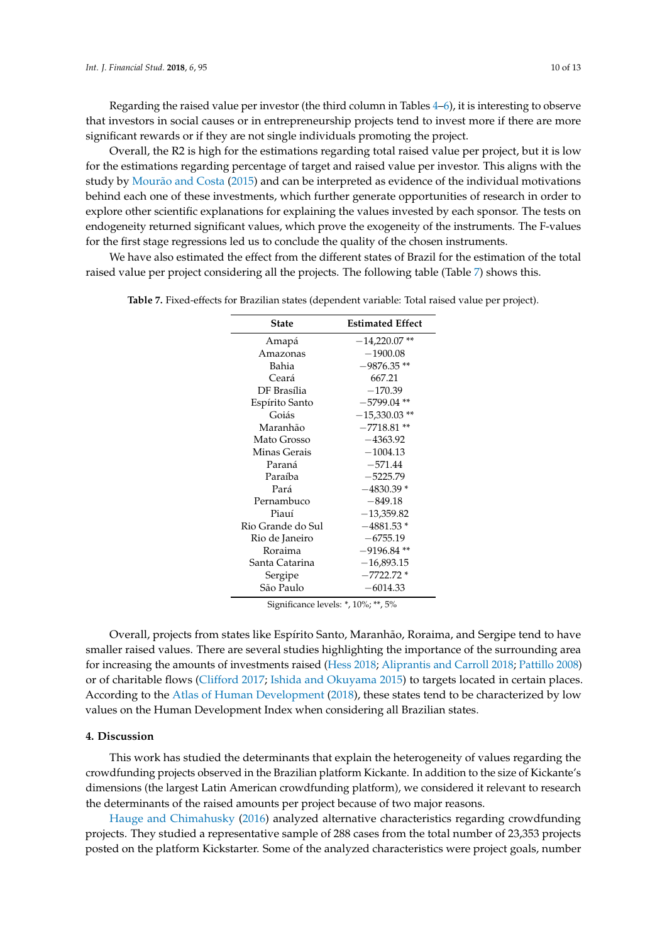Regarding the raised value per investor (the third column in Tables [4](#page-7-1)[–6\)](#page-8-0), it is interesting to observe that investors in social causes or in entrepreneurship projects tend to invest more if there are more significant rewards or if they are not single individuals promoting the project.

Overall, the R2 is high for the estimations regarding total raised value per project, but it is low for the estimations regarding percentage of target and raised value per investor. This aligns with the study by Mourã[o and Costa](#page-12-1) [\(2015\)](#page-12-1) and can be interpreted as evidence of the individual motivations behind each one of these investments, which further generate opportunities of research in order to explore other scientific explanations for explaining the values invested by each sponsor. The tests on endogeneity returned significant values, which prove the exogeneity of the instruments. The F-values for the first stage regressions led us to conclude the quality of the chosen instruments.

<span id="page-9-1"></span>We have also estimated the effect from the different states of Brazil for the estimation of the total raised value per project considering all the projects. The following table (Table [7\)](#page-9-1) shows this.

| <b>State</b>      | <b>Estimated Effect</b> |
|-------------------|-------------------------|
| Amapá             | $-14,220.07$ **         |
| Amazonas          | $-1900.08$              |
| Bahia             | $-9876.35**$            |
| Ceará             | 667.21                  |
| DF Brasília       | $-170.39$               |
| Espírito Santo    | $-5799.04$ **           |
| Goiás             | $-15,330.03$ **         |
| Maranhão          | $-7718.81**$            |
| Mato Grosso       | $-4363.92$              |
| Minas Gerais      | $-1004.13$              |
| Paraná            | $-571.44$               |
| Paraíba           | $-5225.79$              |
| Pará              | $-4830.39*$             |
| Pernambuco        | $-849.18$               |
| Piauí             | $-13,359.82$            |
| Rio Grande do Sul | $-4881.53*$             |
| Rio de Janeiro    | $-6755.19$              |
| Roraima           | $-9196.84$ **           |
| Santa Catarina    | $-16,893.15$            |
| Sergipe           | $-7722.72*$             |
| São Paulo         | $-6014.33$              |

**Table 7.** Fixed-effects for Brazilian states (dependent variable: Total raised value per project).

Significance levels: \*, 10%; \*\*, 5%

Overall, projects from states like Espírito Santo, Maranhão, Roraima, and Sergipe tend to have smaller raised values. There are several studies highlighting the importance of the surrounding area for increasing the amounts of investments raised [\(Hess](#page-11-9) [2018;](#page-11-9) [Aliprantis and Carroll](#page-11-10) [2018;](#page-11-10) [Pattillo](#page-12-11) [2008\)](#page-12-11) or of charitable flows [\(Clifford](#page-11-11) [2017;](#page-11-11) [Ishida and Okuyama](#page-11-12) [2015\)](#page-11-12) to targets located in certain places. According to the [Atlas of Human Development](#page-11-13) [\(2018\)](#page-11-13), these states tend to be characterized by low values on the Human Development Index when considering all Brazilian states.

#### <span id="page-9-0"></span>**4. Discussion**

This work has studied the determinants that explain the heterogeneity of values regarding the crowdfunding projects observed in the Brazilian platform Kickante. In addition to the size of Kickante's dimensions (the largest Latin American crowdfunding platform), we considered it relevant to research the determinants of the raised amounts per project because of two major reasons.

[Hauge and Chimahusky](#page-11-14) [\(2016\)](#page-11-14) analyzed alternative characteristics regarding crowdfunding projects. They studied a representative sample of 288 cases from the total number of 23,353 projects posted on the platform Kickstarter. Some of the analyzed characteristics were project goals, number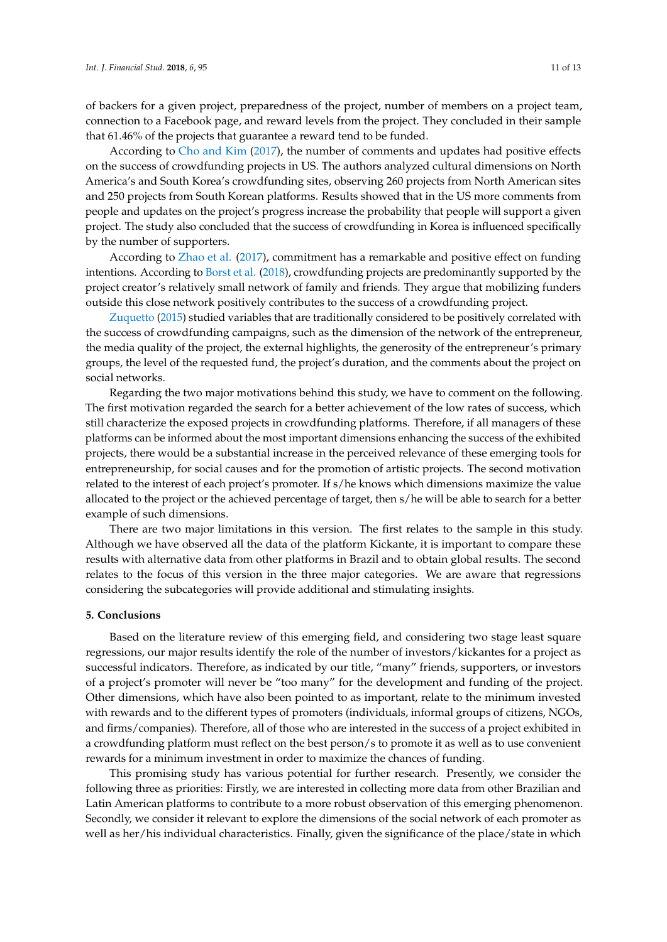of backers for a given project, preparedness of the project, number of members on a project team, connection to a Facebook page, and reward levels from the project. They concluded in their sample that 61.46% of the projects that guarantee a reward tend to be funded.

According to [Cho and Kim](#page-11-15) [\(2017\)](#page-11-15), the number of comments and updates had positive effects on the success of crowdfunding projects in US. The authors analyzed cultural dimensions on North America's and South Korea's crowdfunding sites, observing 260 projects from North American sites and 250 projects from South Korean platforms. Results showed that in the US more comments from people and updates on the project's progress increase the probability that people will support a given project. The study also concluded that the success of crowdfunding in Korea is influenced specifically by the number of supporters.

According to [Zhao et al.](#page-12-3) [\(2017\)](#page-12-3), commitment has a remarkable and positive effect on funding intentions. According to [Borst et al.](#page-11-16) [\(2018\)](#page-11-16), crowdfunding projects are predominantly supported by the project creator's relatively small network of family and friends. They argue that mobilizing funders outside this close network positively contributes to the success of a crowdfunding project.

[Zuquetto](#page-12-2) [\(2015\)](#page-12-2) studied variables that are traditionally considered to be positively correlated with the success of crowdfunding campaigns, such as the dimension of the network of the entrepreneur, the media quality of the project, the external highlights, the generosity of the entrepreneur's primary groups, the level of the requested fund, the project's duration, and the comments about the project on social networks.

Regarding the two major motivations behind this study, we have to comment on the following. The first motivation regarded the search for a better achievement of the low rates of success, which still characterize the exposed projects in crowdfunding platforms. Therefore, if all managers of these platforms can be informed about the most important dimensions enhancing the success of the exhibited projects, there would be a substantial increase in the perceived relevance of these emerging tools for entrepreneurship, for social causes and for the promotion of artistic projects. The second motivation related to the interest of each project's promoter. If s/he knows which dimensions maximize the value allocated to the project or the achieved percentage of target, then s/he will be able to search for a better example of such dimensions.

There are two major limitations in this version. The first relates to the sample in this study. Although we have observed all the data of the platform Kickante, it is important to compare these results with alternative data from other platforms in Brazil and to obtain global results. The second relates to the focus of this version in the three major categories. We are aware that regressions considering the subcategories will provide additional and stimulating insights.

#### **5. Conclusions**

Based on the literature review of this emerging field, and considering two stage least square regressions, our major results identify the role of the number of investors/kickantes for a project as successful indicators. Therefore, as indicated by our title, "many" friends, supporters, or investors of a project's promoter will never be "too many" for the development and funding of the project. Other dimensions, which have also been pointed to as important, relate to the minimum invested with rewards and to the different types of promoters (individuals, informal groups of citizens, NGOs, and firms/companies). Therefore, all of those who are interested in the success of a project exhibited in a crowdfunding platform must reflect on the best person/s to promote it as well as to use convenient rewards for a minimum investment in order to maximize the chances of funding.

This promising study has various potential for further research. Presently, we consider the following three as priorities: Firstly, we are interested in collecting more data from other Brazilian and Latin American platforms to contribute to a more robust observation of this emerging phenomenon. Secondly, we consider it relevant to explore the dimensions of the social network of each promoter as well as her/his individual characteristics. Finally, given the significance of the place/state in which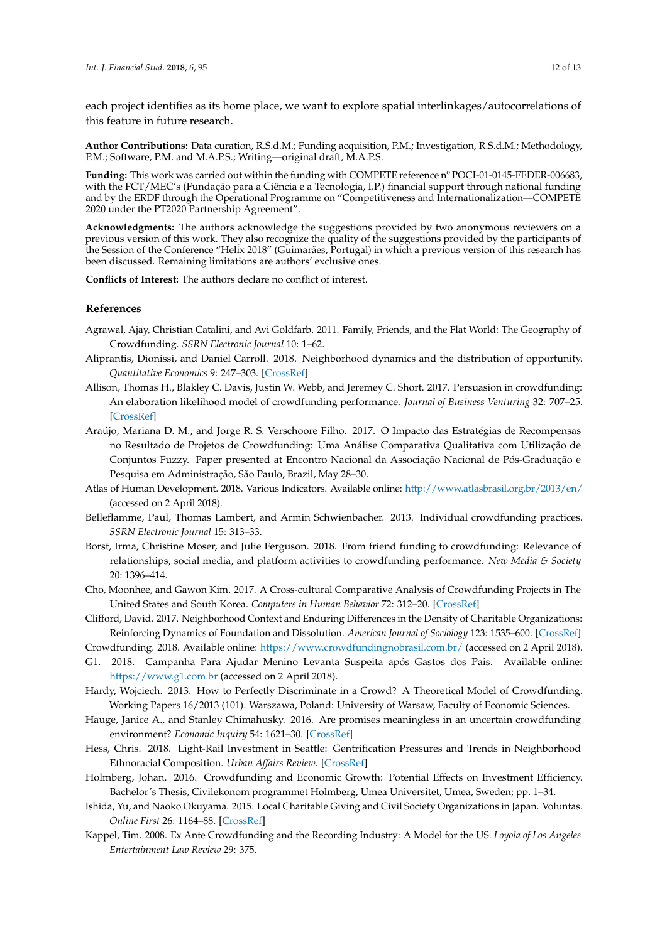each project identifies as its home place, we want to explore spatial interlinkages/autocorrelations of this feature in future research.

**Author Contributions:** Data curation, R.S.d.M.; Funding acquisition, P.M.; Investigation, R.S.d.M.; Methodology, P.M.; Software, P.M. and M.A.P.S.; Writing—original draft, M.A.P.S.

**Funding:** This work was carried out within the funding with COMPETE reference nº POCI-01-0145-FEDER-006683, with the FCT/MEC's (Fundação para a Ciência e a Tecnologia, I.P.) financial support through national funding and by the ERDF through the Operational Programme on "Competitiveness and Internationalization—COMPETE 2020 under the PT2020 Partnership Agreement".

**Acknowledgments:** The authors acknowledge the suggestions provided by two anonymous reviewers on a previous version of this work. They also recognize the quality of the suggestions provided by the participants of the Session of the Conference "Helix 2018" (Guimarães, Portugal) in which a previous version of this research has been discussed. Remaining limitations are authors' exclusive ones.

**Conflicts of Interest:** The authors declare no conflict of interest.

#### **References**

- <span id="page-11-6"></span>Agrawal, Ajay, Christian Catalini, and Avi Goldfarb. 2011. Family, Friends, and the Flat World: The Geography of Crowdfunding. *SSRN Electronic Journal* 10: 1–62.
- <span id="page-11-10"></span>Aliprantis, Dionissi, and Daniel Carroll. 2018. Neighborhood dynamics and the distribution of opportunity. *Quantitative Economics* 9: 247–303. [\[CrossRef\]](http://dx.doi.org/10.3982/QE785)
- <span id="page-11-7"></span>Allison, Thomas H., Blakley C. Davis, Justin W. Webb, and Jeremey C. Short. 2017. Persuasion in crowdfunding: An elaboration likelihood model of crowdfunding performance. *Journal of Business Venturing* 32: 707–25. [\[CrossRef\]](http://dx.doi.org/10.1016/j.jbusvent.2017.09.002)
- <span id="page-11-0"></span>Araújo, Mariana D. M., and Jorge R. S. Verschoore Filho. 2017. O Impacto das Estratégias de Recompensas no Resultado de Projetos de Crowdfunding: Uma Análise Comparativa Qualitativa com Utilização de Conjuntos Fuzzy. Paper presented at Encontro Nacional da Associação Nacional de Pós-Graduação e Pesquisa em Administração, São Paulo, Brazil, May 28–30.
- <span id="page-11-13"></span>Atlas of Human Development. 2018. Various Indicators. Available online: <http://www.atlasbrasil.org.br/2013/en/> (accessed on 2 April 2018).
- <span id="page-11-4"></span>Belleflamme, Paul, Thomas Lambert, and Armin Schwienbacher. 2013. Individual crowdfunding practices. *SSRN Electronic Journal* 15: 313–33.
- <span id="page-11-16"></span>Borst, Irma, Christine Moser, and Julie Ferguson. 2018. From friend funding to crowdfunding: Relevance of relationships, social media, and platform activities to crowdfunding performance. *New Media & Society* 20: 1396–414.
- <span id="page-11-15"></span>Cho, Moonhee, and Gawon Kim. 2017. A Cross-cultural Comparative Analysis of Crowdfunding Projects in The United States and South Korea. *Computers in Human Behavior* 72: 312–20. [\[CrossRef\]](http://dx.doi.org/10.1016/j.chb.2017.03.013)
- <span id="page-11-11"></span>Clifford, David. 2017. Neighborhood Context and Enduring Differences in the Density of Charitable Organizations: Reinforcing Dynamics of Foundation and Dissolution. *American Journal of Sociology* 123: 1535–600. [\[CrossRef\]](http://dx.doi.org/10.1086/697895)

<span id="page-11-1"></span>Crowdfunding. 2018. Available online: <https://www.crowdfundingnobrasil.com.br/> (accessed on 2 April 2018).

- <span id="page-11-2"></span>G1. 2018. Campanha Para Ajudar Menino Levanta Suspeita após Gastos dos Pais. Available online: <https://www.g1.com.br> (accessed on 2 April 2018).
- <span id="page-11-3"></span>Hardy, Wojciech. 2013. How to Perfectly Discriminate in a Crowd? A Theoretical Model of Crowdfunding. Working Papers 16/2013 (101). Warszawa, Poland: University of Warsaw, Faculty of Economic Sciences.
- <span id="page-11-14"></span>Hauge, Janice A., and Stanley Chimahusky. 2016. Are promises meaningless in an uncertain crowdfunding environment? *Economic Inquiry* 54: 1621–30. [\[CrossRef\]](http://dx.doi.org/10.1111/ecin.12319)
- <span id="page-11-9"></span>Hess, Chris. 2018. Light-Rail Investment in Seattle: Gentrification Pressures and Trends in Neighborhood Ethnoracial Composition. *Urban Affairs Review*. [\[CrossRef\]](http://dx.doi.org/10.1177/1078087418758959)
- <span id="page-11-5"></span>Holmberg, Johan. 2016. Crowdfunding and Economic Growth: Potential Effects on Investment Efficiency. Bachelor's Thesis, Civilekonom programmet Holmberg, Umea Universitet, Umea, Sweden; pp. 1–34.
- <span id="page-11-12"></span>Ishida, Yu, and Naoko Okuyama. 2015. Local Charitable Giving and Civil Society Organizations in Japan. Voluntas. *Online First* 26: 1164–88. [\[CrossRef\]](http://dx.doi.org/10.1007/s11266-015-9588-9)
- <span id="page-11-8"></span>Kappel, Tim. 2008. Ex Ante Crowdfunding and the Recording Industry: A Model for the US. *Loyola of Los Angeles Entertainment Law Review* 29: 375.